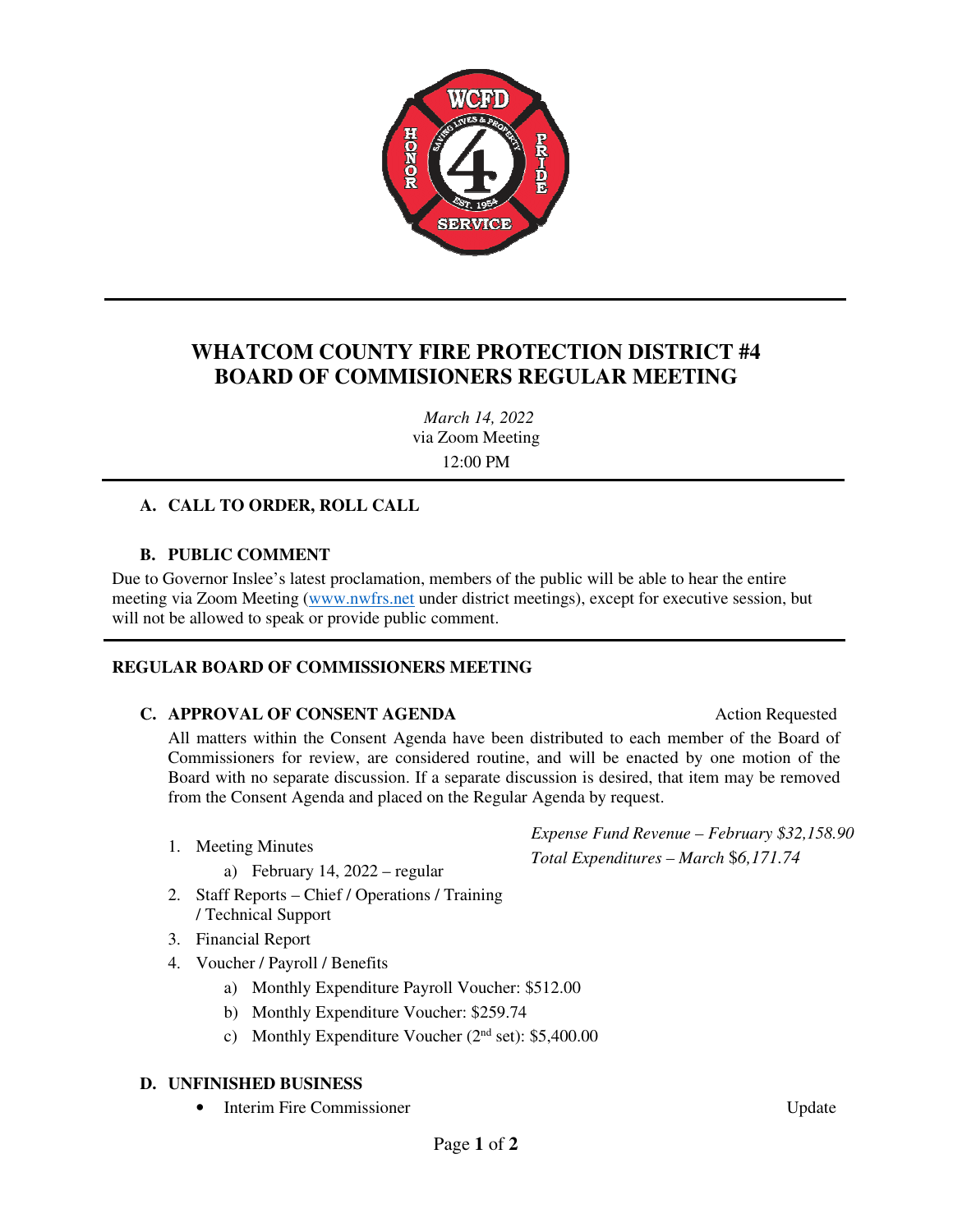

## **WHATCOM COUNTY FIRE PROTECTION DISTRICT #4 BOARD OF COMMISIONERS REGULAR MEETING**

*March 14, 2022*  via Zoom Meeting 12:00 PM

### **A. CALL TO ORDER, ROLL CALL**

### **B. PUBLIC COMMENT**

Due to Governor Inslee's latest proclamation, members of the public will be able to hear the entire meeting via Zoom Meeting (www.nwfrs.net under district meetings), except for executive session, but will not be allowed to speak or provide public comment.

### **REGULAR BOARD OF COMMISSIONERS MEETING**

### **C. APPROVAL OF CONSENT AGENDA** Action Requested

All matters within the Consent Agenda have been distributed to each member of the Board of Commissioners for review, are considered routine, and will be enacted by one motion of the Board with no separate discussion. If a separate discussion is desired, that item may be removed from the Consent Agenda and placed on the Regular Agenda by request.

- 1. Meeting Minutes
	- a) February 14, 2022 regular
- 2. Staff Reports Chief / Operations / Training / Technical Support
- 3. Financial Report
- 4. Voucher / Payroll / Benefits
	- a) Monthly Expenditure Payroll Voucher: \$512.00
	- b) Monthly Expenditure Voucher: \$259.74
	- c) Monthly Expenditure Voucher  $(2<sup>nd</sup> set): $5,400.00$

### **D. UNFINISHED BUSINESS**

• Interim Fire Commissioner View Andreas Update

*Expense Fund Revenue – February \$32,158.90 Total Expenditures – March* \$*6,171.74*

Page **1** of **2**